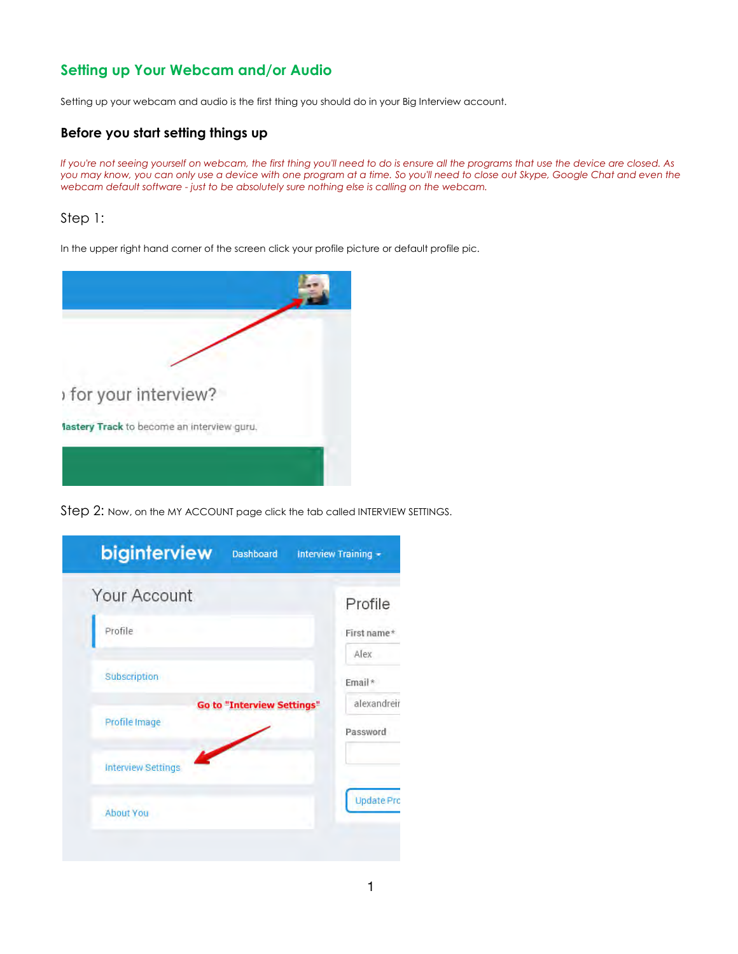## Setting up Your Webcam and/or Audio

Setting up your webcam and audio is the first thing you should do in your Big Interview account.

### Before you start setting things up

If you're not seeing yourself on webcam, the first thing you'll need to do is ensure all the programs that use the device are closed. As you may know, you can only use a device with one program at a time. So you'll need to close out Skype, Google Chat and even the webcam default software - just to be absolutely sure nothing else is calling on the webcam.

### Step 1:

In the upper right hand corner of the screen click your profile picture or default profile pic.



Step 2: Now, on the MY ACCOUNT page click the tab called INTERVIEW SETTINGS.

| biginterview<br><b>Dashboard</b>                   | Interview Training -   |
|----------------------------------------------------|------------------------|
| Your Account                                       | Profile                |
| Profile                                            | First name*            |
| Subscription                                       | Alex<br>Email*         |
| <b>Go to "Interview Settings"</b><br>Profile Image | alexandrei<br>Password |
| <b>Interview Settings</b>                          |                        |
| <b>About You</b>                                   | <b>Update Pri</b>      |
|                                                    |                        |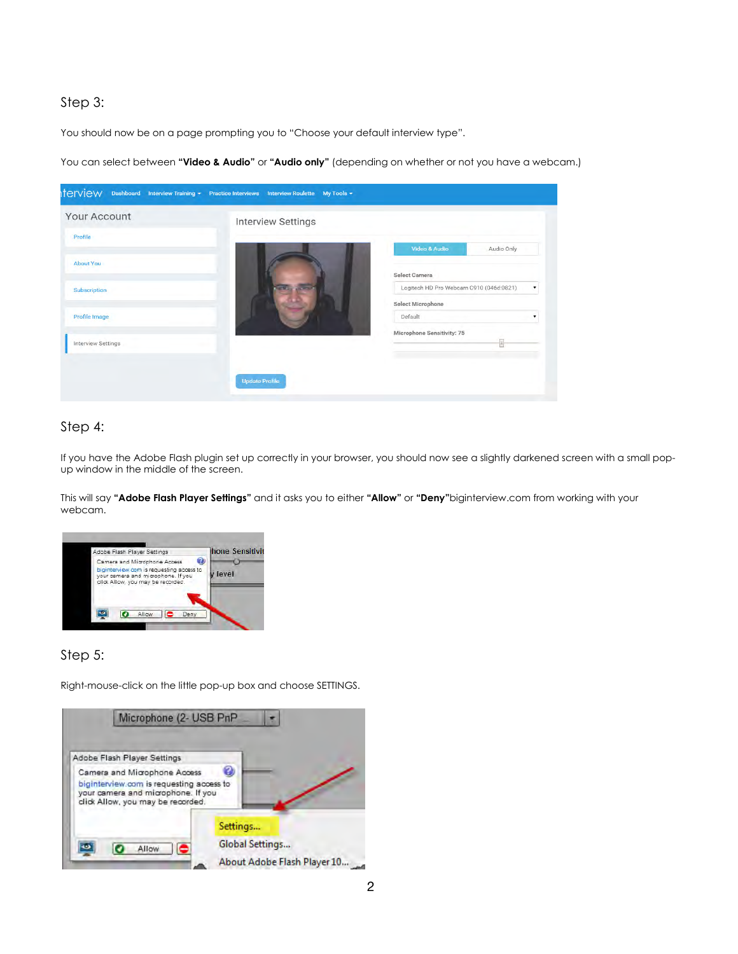### Step 3:

You should now be on a page prompting you to "Choose your default interview type".

You can select between "Video & Audio" or "Audio only" (depending on whether or not you have a webcam.)



### Step 4:

If you have the Adobe Flash plugin set up correctly in your browser, you should now see a slightly darkened screen with a small popup window in the middle of the screen.

This will say "Adobe Flash Player Settings" and it asks you to either "Allow" or "Deny"biginterview.com from working with your webcam.



### Step 5:

Right-mouse-click on the little pop-up box and choose SETTINGS.

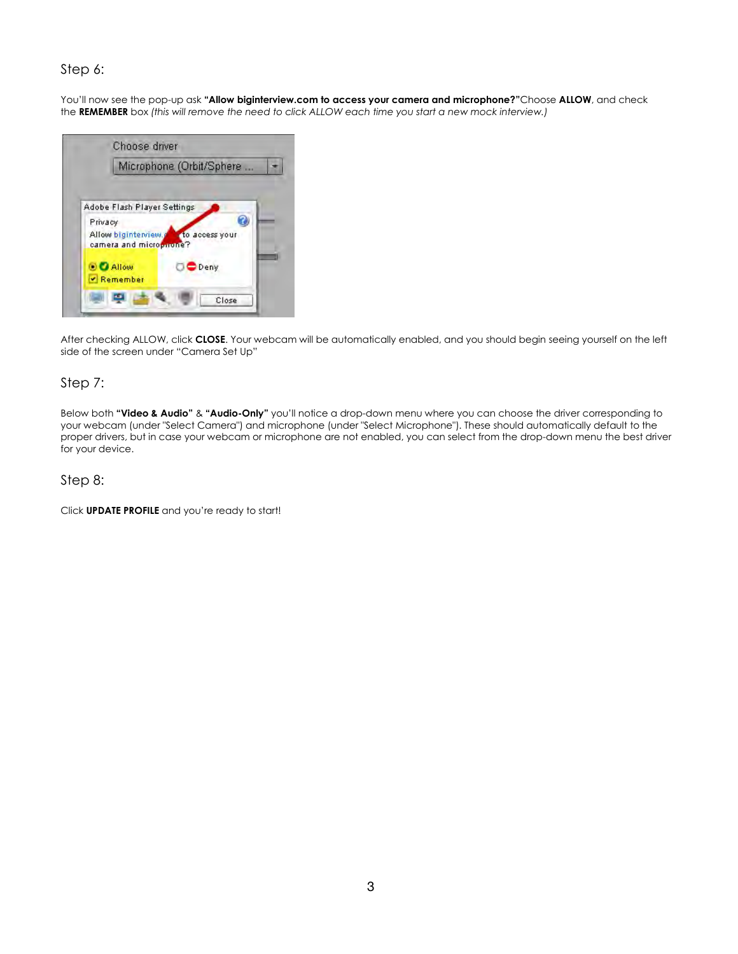#### Step 6:

You'll now see the pop-up ask "Allow biginterview.com to access your camera and microphone?"Choose ALLOW, and check the REMEMBER box (this will remove the need to click ALLOW each time you start a new mock interview.)



After checking ALLOW, click CLOSE. Your webcam will be automatically enabled, and you should begin seeing yourself on the left side of the screen under "Camera Set Up"

#### Step 7:

Below both "Video & Audio" & "Audio-Only" you'll notice a drop-down menu where you can choose the driver corresponding to your webcam (under "Select Camera") and microphone (under "Select Microphone"). These should automatically default to the proper drivers, but in case your webcam or microphone are not enabled, you can select from the drop-down menu the best driver for your device.

#### Step 8:

Click UPDATE PROFILE and you're ready to start!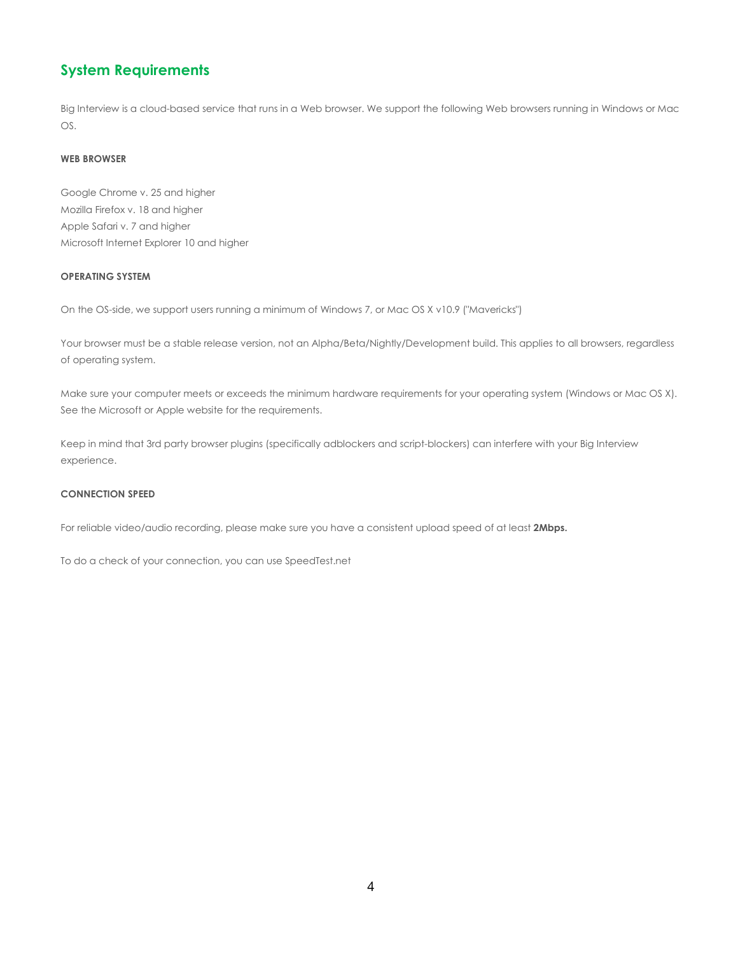### System Requirements

Big Interview is a cloud-based service that runs in a Web browser. We support the following Web browsers running in Windows or Mac OS.

#### WEB BROWSER

Google Chrome v. 25 and higher Mozilla Firefox v. 18 and higher Apple Safari v. 7 and higher Microsoft Internet Explorer 10 and higher

#### OPERATING SYSTEM

On the OS-side, we support users running a minimum of Windows 7, or Mac OS X v10.9 ("Mavericks")

Your browser must be a stable release version, not an Alpha/Beta/Nightly/Development build. This applies to all browsers, regardless of operating system.

Make sure your computer meets or exceeds the minimum hardware requirements for your operating system (Windows or Mac OS X). See the Microsoft or Apple website for the requirements.

Keep in mind that 3rd party browser plugins (specifically adblockers and script-blockers) can interfere with your Big Interview experience.

#### CONNECTION SPEED

For reliable video/audio recording, please make sure you have a consistent upload speed of at least 2Mbps.

To do a check of your connection, you can use SpeedTest.net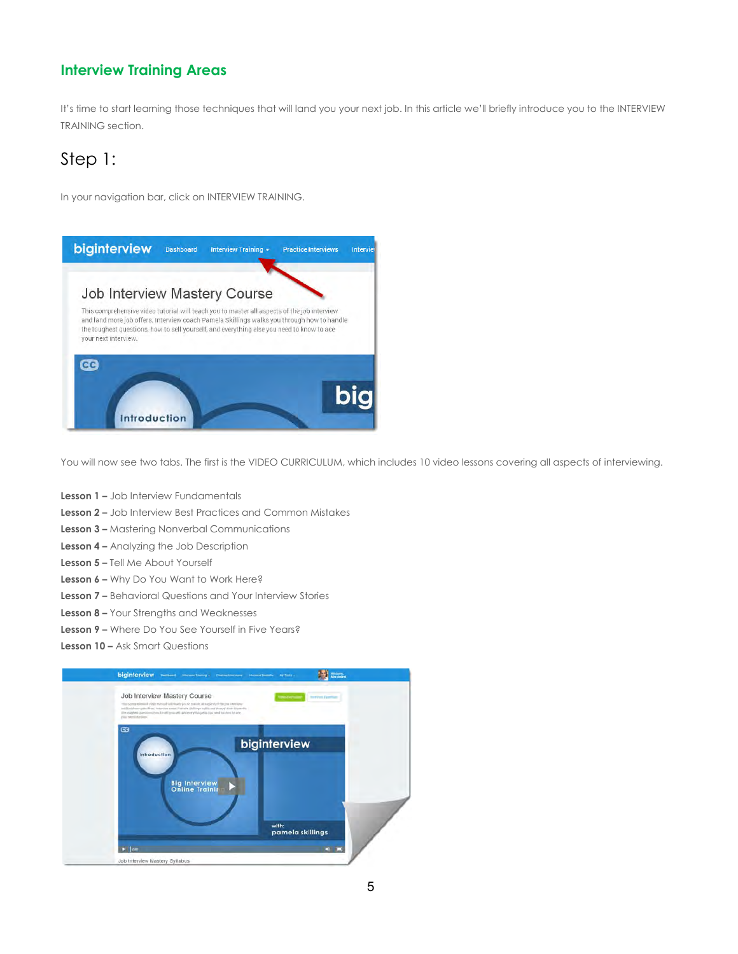### Interview Training Areas

It's time to start learning those techniques that will land you your next job. In this article we'll briefly introduce you to the INTERVIEW TRAINING section.

## Step 1:

In your navigation bar, click on INTERVIEW TRAINING.



You will now see two tabs. The first is the VIDEO CURRICULUM, which includes 10 video lessons covering all aspects of interviewing.

- Lesson 1 Job Interview Fundamentals
- Lesson 2 Job Interview Best Practices and Common Mistakes
- Lesson 3 Mastering Nonverbal Communications
- Lesson 4 Analyzing the Job Description
- Lesson 5 Tell Me About Yourself
- Lesson 6 Why Do You Want to Work Here?
- Lesson 7 Behavioral Questions and Your Interview Stories
- Lesson 8 Your Strengths and Weaknesses
- Lesson 9 Where Do You See Yourself in Five Years?
- Lesson 10 Ask Smart Questions

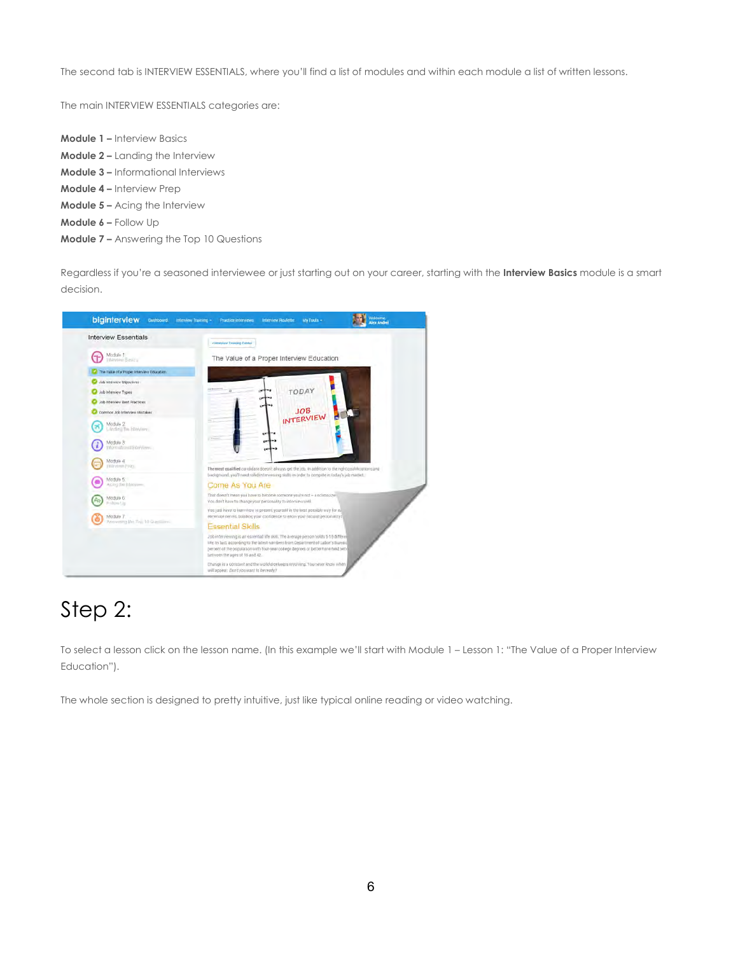The second tab is INTERVIEW ESSENTIALS, where you'll find a list of modules and within each module a list of written lessons.

The main INTERVIEW ESSENTIALS categories are:

Module 1 – Interview Basics Module 2 – Landing the Interview Module 3 – Informational Interviews Module 4 – Interview Prep Module 5 – Acing the Interview Module 6 – Follow Up Module 7 – Answering the Top 10 Questions

Regardless if you're a seasoned interviewee or just starting out on your career, starting with the Interview Basics module is a smart decision.



# Step 2:

To select a lesson click on the lesson name. (In this example we'll start with Module 1 – Lesson 1: "The Value of a Proper Interview Education").

The whole section is designed to pretty intuitive, just like typical online reading or video watching.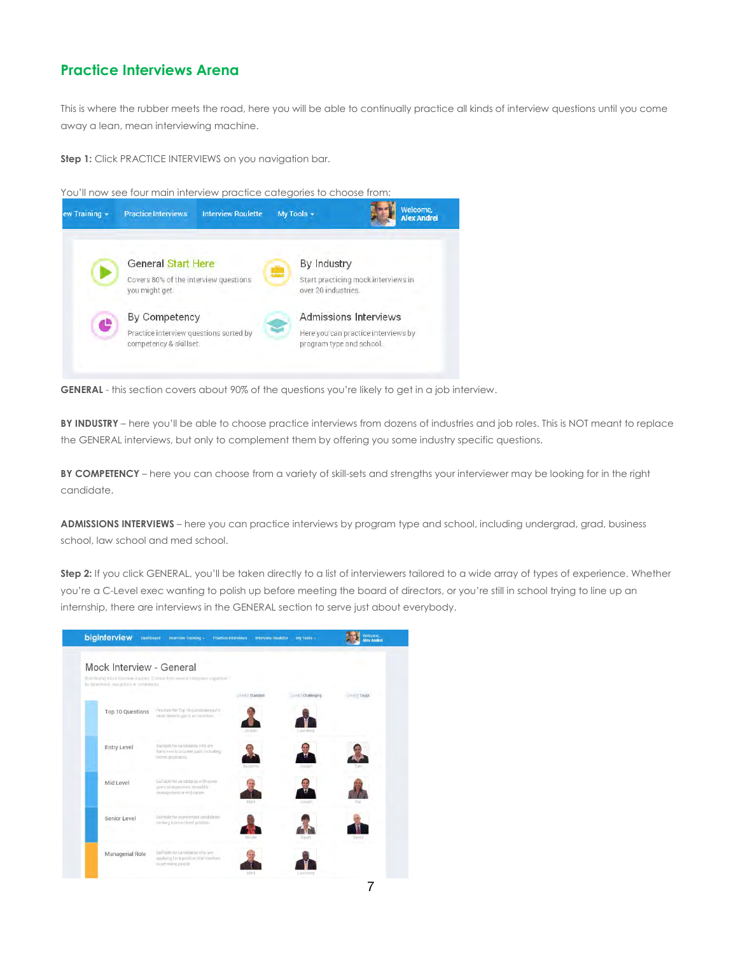### Practice Interviews Arena

This is where the rubber meets the road, here you will be able to continually practice all kinds of interview questions until you come away a lean, mean interviewing machine.

Step 1: Click PRACTICE INTERVIEWS on you navigation bar.

You'll now see four main interview practice categories to choose from:



GENERAL - this section covers about 90% of the questions you're likely to get in a job interview.

BY INDUSTRY – here you'll be able to choose practice interviews from dozens of industries and job roles. This is NOT meant to replace the GENERAL interviews, but only to complement them by offering you some industry specific questions.

BY COMPETENCY – here you can choose from a variety of skill-sets and strengths your interviewer may be looking for in the right candidate.

ADMISSIONS INTERVIEWS – here you can practice interviews by program type and school, including undergrad, grad, business school, law school and med school.

Step 2: If you click GENERAL, you'll be taken directly to a list of interviewers tailored to a wide array of types of experience. Whether you're a C-Level exec wanting to polish up before meeting the board of directors, or you're still in school trying to line up an internship, there are interviews in the GENERAL section to serve just about everybody.

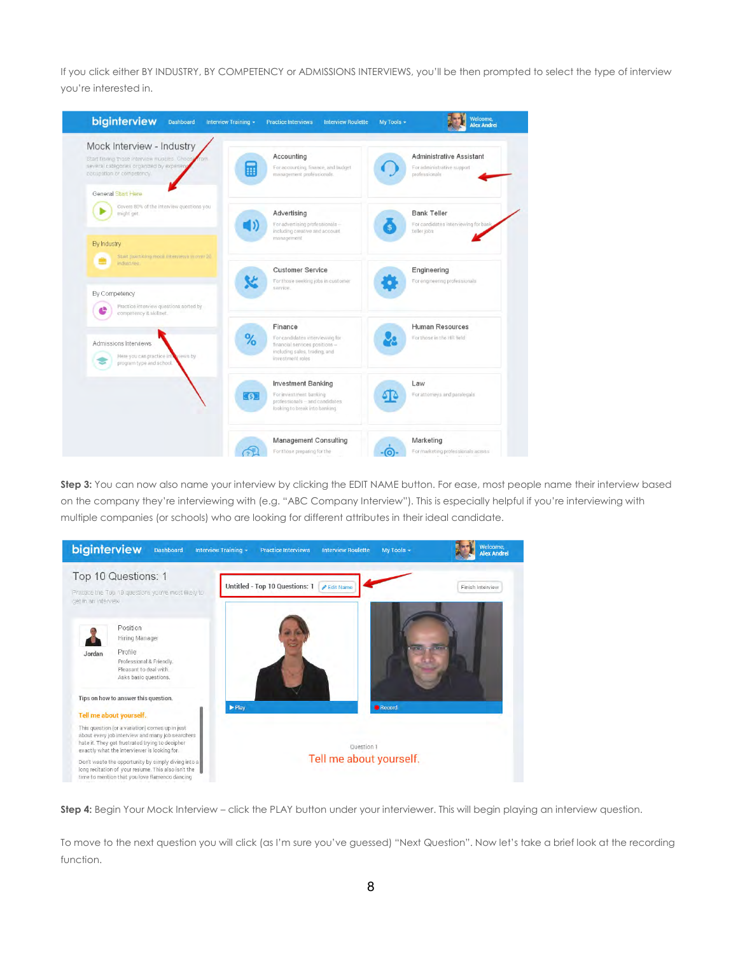If you click either BY INDUSTRY, BY COMPETENCY or ADMISSIONS INTERVIEWS, you'll be then prompted to select the type of interview you're interested in.



Step 3: You can now also name your interview by clicking the EDIT NAME button. For ease, most people name their interview based on the company they're interviewing with (e.g. "ABC Company Interview"). This is especially helpful if you're interviewing with multiple companies (or schools) who are looking for different attributes in their ideal candidate.



Step 4: Begin Your Mock Interview – click the PLAY button under your interviewer. This will begin playing an interview question.

To move to the next question you will click (as I'm sure you've guessed) "Next Question". Now let's take a brief look at the recording function.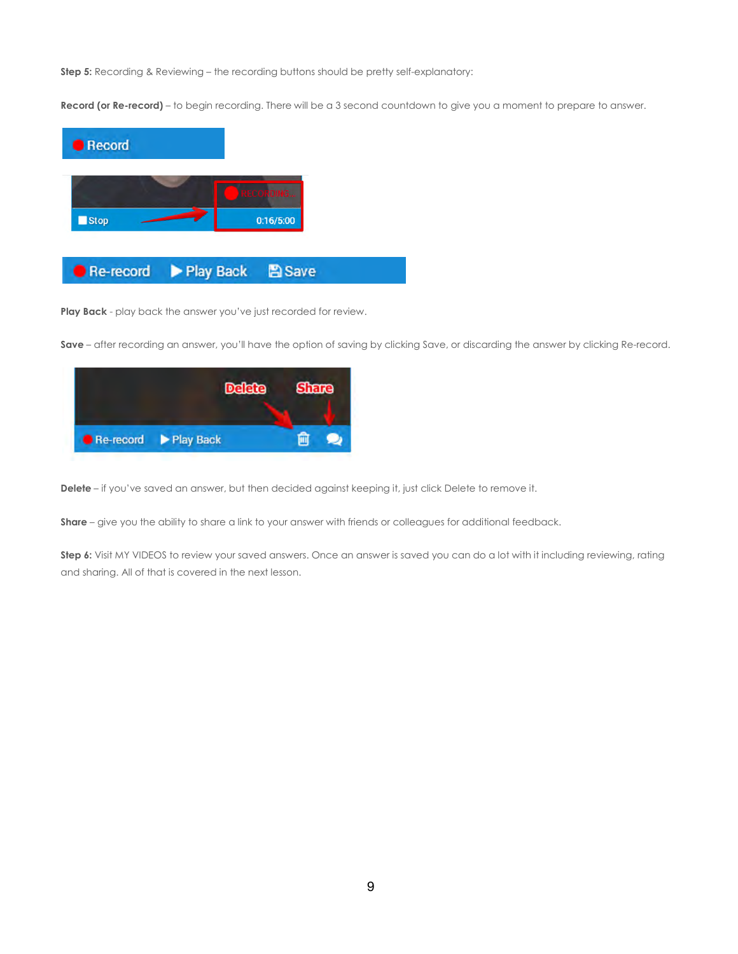Step 5: Recording & Reviewing - the recording buttons should be pretty self-explanatory:

Record (or Re-record) – to begin recording. There will be a 3 second countdown to give you a moment to prepare to answer.



Play Back - play back the answer you've just recorded for review.

Save – after recording an answer, you'll have the option of saving by clicking Save, or discarding the answer by clicking Re-record.



Delete – if you've saved an answer, but then decided against keeping it, just click Delete to remove it.

Share – give you the ability to share a link to your answer with friends or colleagues for additional feedback.

Step 6: Visit MY VIDEOS to review your saved answers. Once an answer is saved you can do a lot with it including reviewing, rating and sharing. All of that is covered in the next lesson.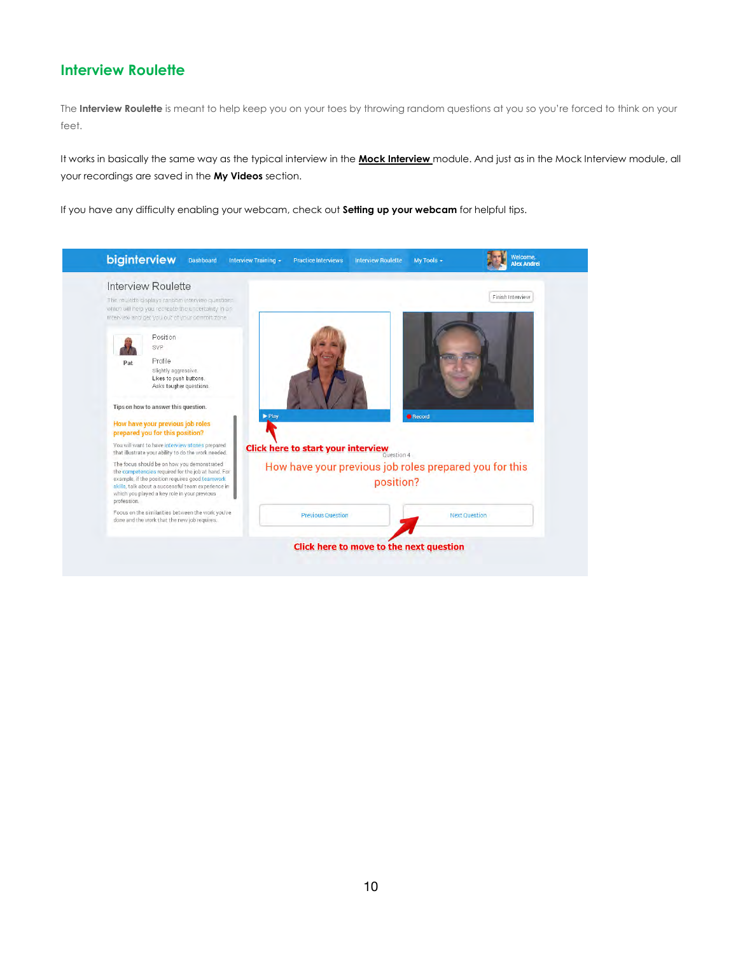### Interview Roulette

The Interview Roulette is meant to help keep you on your toes by throwing random questions at you so you're forced to think on your feet.

It works in basically the same way as the typical interview in the Mock Interview module. And just as in the Mock Interview module, all your recordings are saved in the My Videos section.

If you have any difficulty enabling your webcam, check out **Setting up your webcam** for helpful tips.

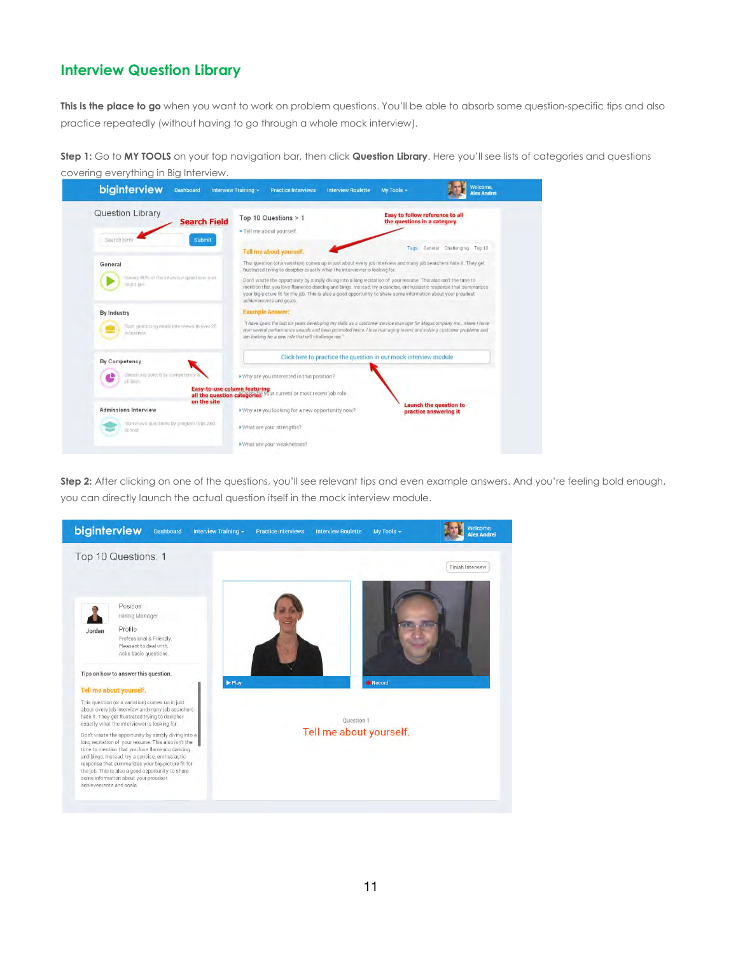### Interview Question Library

This is the place to go when you want to work on problem questions. You'll be able to absorb some question-specific tips and also practice repeatedly (without having to go through a whole mock interview).

Step 1: Go to MY TOOLS on your top navigation bar, then click Question Library. Here you'll see lists of categories and questions covering everything in Big Interview.



Step 2: After clicking on one of the questions, you'll see relevant tips and even example answers. And you're feeling bold enough, you can directly launch the actual question itself in the mock interview module.

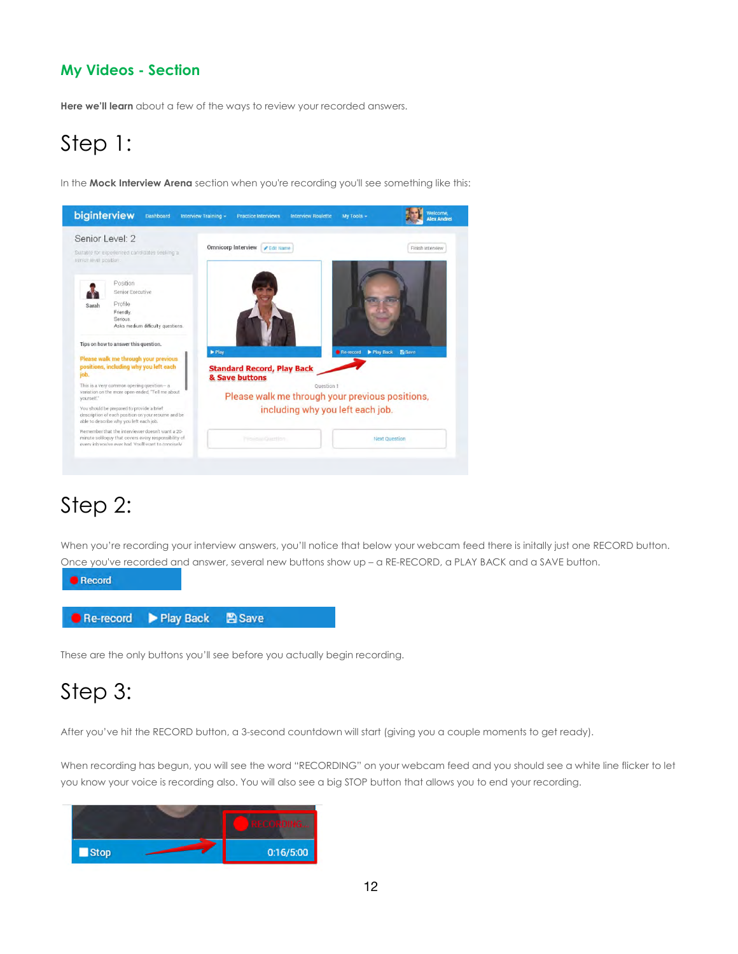## My Videos - Section

Here we'll learn about a few of the ways to review your recorded answers.

# Step 1:

In the Mock Interview Arena section when you're recording you'll see something like this:



## Step 2:

When you're recording your interview answers, you'll notice that below your webcam feed there is initally just one RECORD button. Once you've recorded and answer, several new buttons show up – a RE-RECORD, a PLAY BACK and a SAVE button.



These are the only buttons you'll see before you actually begin recording.

# Step 3:

After you've hit the RECORD button, a 3-second countdown will start (giving you a couple moments to get ready).

When recording has begun, you will see the word "RECORDING" on your webcam feed and you should see a white line flicker to let you know your voice is recording also. You will also see a big STOP button that allows you to end your recording.

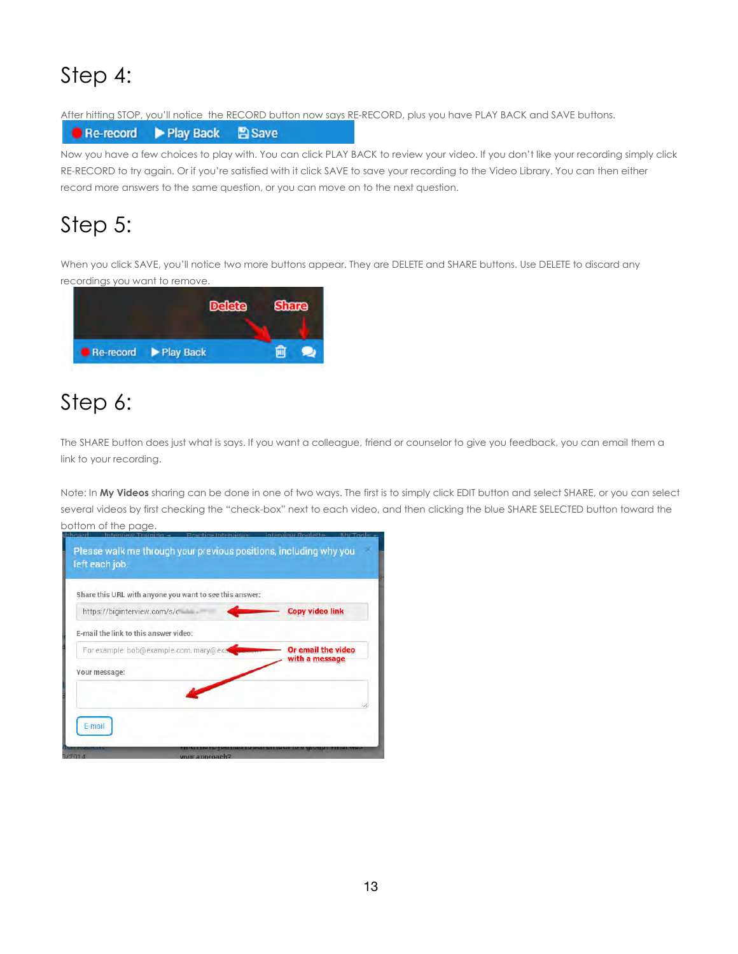# Step 4:

After hitting STOP, you'll notice the RECORD button now says RE-RECORD, plus you have PLAY BACK and SAVE buttons.

**图 Save** Play Back Re-record

Now you have a few choices to play with. You can click PLAY BACK to review your video. If you don't like your recording simply click RE-RECORD to try again. Or if you're satisfied with it click SAVE to save your recording to the Video Library. You can then either record more answers to the same question, or you can move on to the next question.

# Step 5:

When you click SAVE, you'll notice two more buttons appear. They are DELETE and SHARE buttons. Use DELETE to discard any recordings you want to remove.



# Step 6:

The SHARE button does just what is says. If you want a colleague, friend or counselor to give you feedback, you can email them a link to your recording.

Note: In My Videos sharing can be done in one of two ways. The first is to simply click EDIT button and select SHARE, or you can select several videos by first checking the "check-box" next to each video, and then clicking the blue SHARE SELECTED button toward the bottom of the page.

| https://biginterview.com/s/c           | <b>Copy video link</b> |
|----------------------------------------|------------------------|
| E-mail the link to this answer video:  |                        |
| For example: bob@example.com, mary@exa | Or email the video     |
| Your message:                          | with a message         |
|                                        |                        |